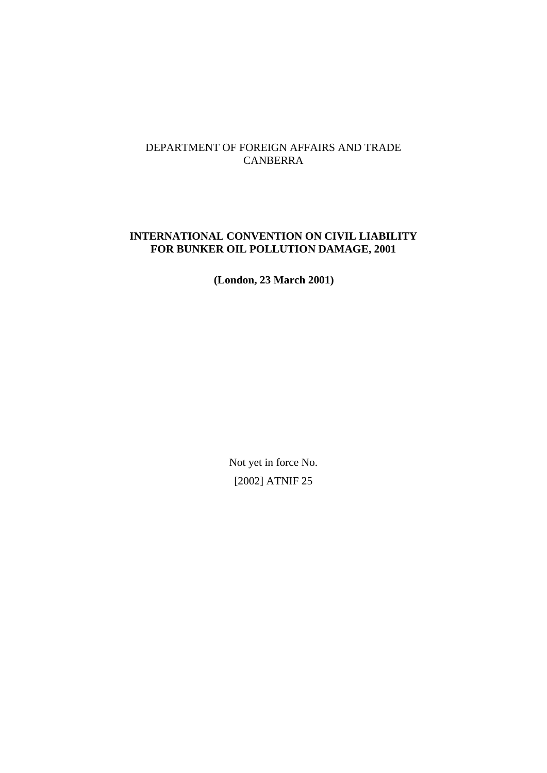# DEPARTMENT OF FOREIGN AFFAIRS AND TRADE CANBERRA

## **INTERNATIONAL CONVENTION ON CIVIL LIABILITY FOR BUNKER OIL POLLUTION DAMAGE, 2001**

**(London, 23 March 2001)** 

Not yet in force No. [2002] ATNIF 25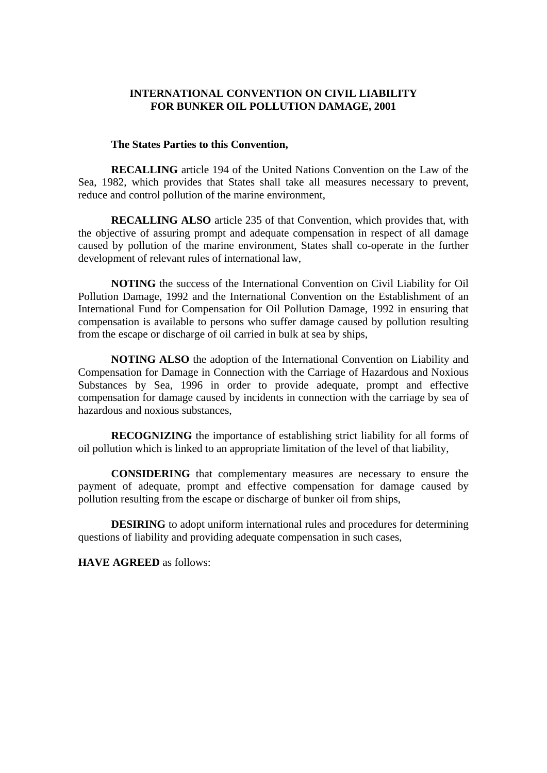## **INTERNATIONAL CONVENTION ON CIVIL LIABILITY FOR BUNKER OIL POLLUTION DAMAGE, 2001**

#### **The States Parties to this Convention,**

**RECALLING** article 194 of the United Nations Convention on the Law of the Sea, 1982, which provides that States shall take all measures necessary to prevent, reduce and control pollution of the marine environment,

**RECALLING ALSO** article 235 of that Convention, which provides that, with the objective of assuring prompt and adequate compensation in respect of all damage caused by pollution of the marine environment, States shall co-operate in the further development of relevant rules of international law,

**NOTING** the success of the International Convention on Civil Liability for Oil Pollution Damage, 1992 and the International Convention on the Establishment of an International Fund for Compensation for Oil Pollution Damage, 1992 in ensuring that compensation is available to persons who suffer damage caused by pollution resulting from the escape or discharge of oil carried in bulk at sea by ships,

**NOTING ALSO** the adoption of the International Convention on Liability and Compensation for Damage in Connection with the Carriage of Hazardous and Noxious Substances by Sea, 1996 in order to provide adequate, prompt and effective compensation for damage caused by incidents in connection with the carriage by sea of hazardous and noxious substances

**RECOGNIZING** the importance of establishing strict liability for all forms of oil pollution which is linked to an appropriate limitation of the level of that liability,

**CONSIDERING** that complementary measures are necessary to ensure the payment of adequate, prompt and effective compensation for damage caused by pollution resulting from the escape or discharge of bunker oil from ships,

**DESIRING** to adopt uniform international rules and procedures for determining questions of liability and providing adequate compensation in such cases,

**HAVE AGREED** as follows: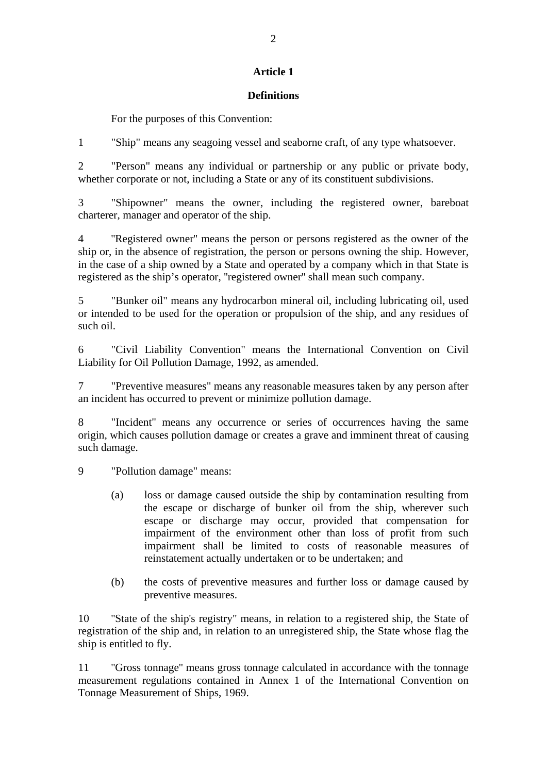## **Definitions**

For the purposes of this Convention:

1 "Ship" means any seagoing vessel and seaborne craft, of any type whatsoever.

2 "Person" means any individual or partnership or any public or private body, whether corporate or not, including a State or any of its constituent subdivisions.

3 "Shipowner" means the owner, including the registered owner, bareboat charterer, manager and operator of the ship.

4 ''Registered owner'' means the person or persons registered as the owner of the ship or, in the absence of registration, the person or persons owning the ship. However, in the case of a ship owned by a State and operated by a company which in that State is registered as the ship's operator, ''registered owner'' shall mean such company.

5 "Bunker oil" means any hydrocarbon mineral oil, including lubricating oil, used or intended to be used for the operation or propulsion of the ship, and any residues of such oil.

6 "Civil Liability Convention" means the International Convention on Civil Liability for Oil Pollution Damage, 1992, as amended.

7 "Preventive measures" means any reasonable measures taken by any person after an incident has occurred to prevent or minimize pollution damage.

8 "Incident" means any occurrence or series of occurrences having the same origin, which causes pollution damage or creates a grave and imminent threat of causing such damage.

9 "Pollution damage" means:

- (a) loss or damage caused outside the ship by contamination resulting from the escape or discharge of bunker oil from the ship, wherever such escape or discharge may occur, provided that compensation for impairment of the environment other than loss of profit from such impairment shall be limited to costs of reasonable measures of reinstatement actually undertaken or to be undertaken; and
- (b) the costs of preventive measures and further loss or damage caused by preventive measures.

10 ''State of the ship's registry" means, in relation to a registered ship, the State of registration of the ship and, in relation to an unregistered ship, the State whose flag the ship is entitled to fly.

11 ''Gross tonnage'' means gross tonnage calculated in accordance with the tonnage measurement regulations contained in Annex 1 of the International Convention on Tonnage Measurement of Ships, 1969.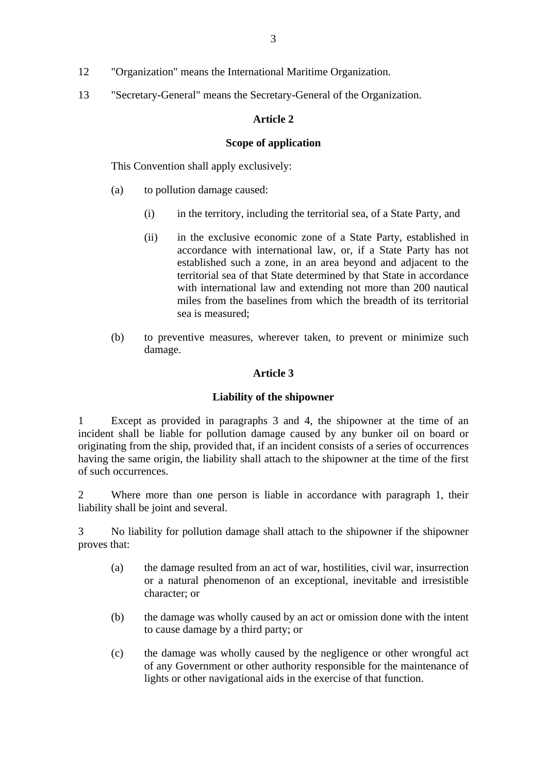- 12 "Organization" means the International Maritime Organization.
- 13 "Secretary-General" means the Secretary-General of the Organization.

#### **Scope of application**

This Convention shall apply exclusively:

- (a) to pollution damage caused:
	- (i) in the territory, including the territorial sea, of a State Party, and
	- (ii) in the exclusive economic zone of a State Party, established in accordance with international law, or, if a State Party has not established such a zone, in an area beyond and adjacent to the territorial sea of that State determined by that State in accordance with international law and extending not more than 200 nautical miles from the baselines from which the breadth of its territorial sea is measured;
- (b) to preventive measures, wherever taken, to prevent or minimize such damage.

### **Article 3**

### **Liability of the shipowner**

1 Except as provided in paragraphs 3 and 4, the shipowner at the time of an incident shall be liable for pollution damage caused by any bunker oil on board or originating from the ship, provided that, if an incident consists of a series of occurrences having the same origin, the liability shall attach to the shipowner at the time of the first of such occurrences.

2 Where more than one person is liable in accordance with paragraph 1, their liability shall be joint and several.

3 No liability for pollution damage shall attach to the shipowner if the shipowner proves that:

- (a) the damage resulted from an act of war, hostilities, civil war, insurrection or a natural phenomenon of an exceptional, inevitable and irresistible character; or
- (b) the damage was wholly caused by an act or omission done with the intent to cause damage by a third party; or
- (c) the damage was wholly caused by the negligence or other wrongful act of any Government or other authority responsible for the maintenance of lights or other navigational aids in the exercise of that function.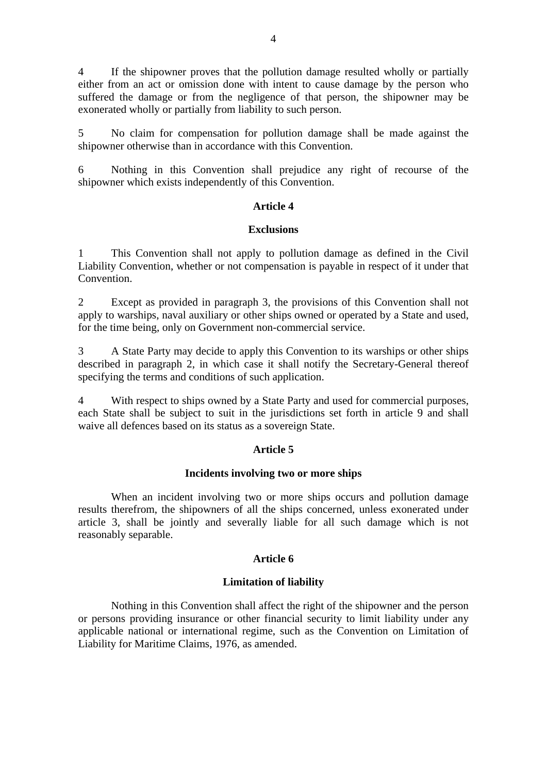4 If the shipowner proves that the pollution damage resulted wholly or partially either from an act or omission done with intent to cause damage by the person who suffered the damage or from the negligence of that person, the shipowner may be exonerated wholly or partially from liability to such person.

5 No claim for compensation for pollution damage shall be made against the shipowner otherwise than in accordance with this Convention.

6 Nothing in this Convention shall prejudice any right of recourse of the shipowner which exists independently of this Convention.

### **Article 4**

#### **Exclusions**

1 This Convention shall not apply to pollution damage as defined in the Civil Liability Convention, whether or not compensation is payable in respect of it under that Convention.

2 Except as provided in paragraph 3, the provisions of this Convention shall not apply to warships, naval auxiliary or other ships owned or operated by a State and used, for the time being, only on Government non-commercial service.

3 A State Party may decide to apply this Convention to its warships or other ships described in paragraph 2, in which case it shall notify the Secretary-General thereof specifying the terms and conditions of such application.

4 With respect to ships owned by a State Party and used for commercial purposes, each State shall be subject to suit in the jurisdictions set forth in article 9 and shall waive all defences based on its status as a sovereign State.

### **Article 5**

#### **Incidents involving two or more ships**

When an incident involving two or more ships occurs and pollution damage results therefrom, the shipowners of all the ships concerned, unless exonerated under article 3, shall be jointly and severally liable for all such damage which is not reasonably separable.

### **Article 6**

### **Limitation of liability**

Nothing in this Convention shall affect the right of the shipowner and the person or persons providing insurance or other financial security to limit liability under any applicable national or international regime, such as the Convention on Limitation of Liability for Maritime Claims, 1976, as amended.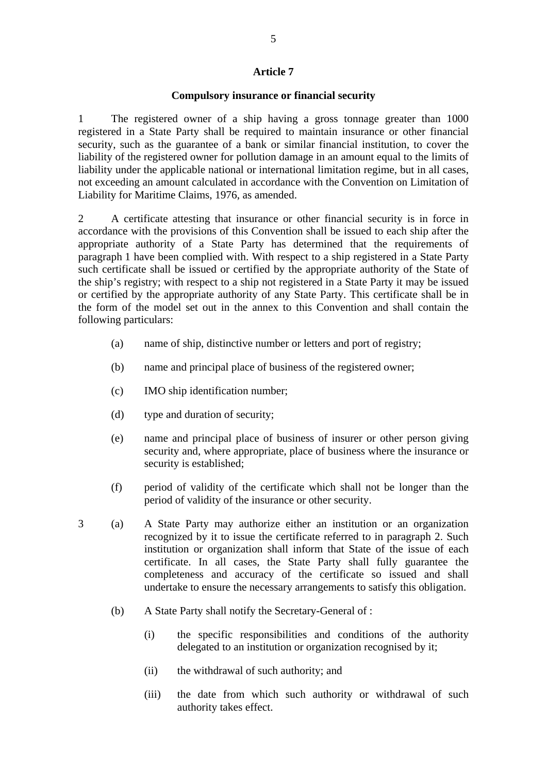#### **Compulsory insurance or financial security**

1 The registered owner of a ship having a gross tonnage greater than 1000 registered in a State Party shall be required to maintain insurance or other financial security, such as the guarantee of a bank or similar financial institution, to cover the liability of the registered owner for pollution damage in an amount equal to the limits of liability under the applicable national or international limitation regime, but in all cases, not exceeding an amount calculated in accordance with the Convention on Limitation of Liability for Maritime Claims, 1976, as amended.

2 A certificate attesting that insurance or other financial security is in force in accordance with the provisions of this Convention shall be issued to each ship after the appropriate authority of a State Party has determined that the requirements of paragraph 1 have been complied with. With respect to a ship registered in a State Party such certificate shall be issued or certified by the appropriate authority of the State of the ship's registry; with respect to a ship not registered in a State Party it may be issued or certified by the appropriate authority of any State Party. This certificate shall be in the form of the model set out in the annex to this Convention and shall contain the following particulars:

- (a) name of ship, distinctive number or letters and port of registry;
- (b) name and principal place of business of the registered owner;
- (c) IMO ship identification number;
- (d) type and duration of security;
- (e) name and principal place of business of insurer or other person giving security and, where appropriate, place of business where the insurance or security is established;
- (f) period of validity of the certificate which shall not be longer than the period of validity of the insurance or other security.
- 3 (a) A State Party may authorize either an institution or an organization recognized by it to issue the certificate referred to in paragraph 2. Such institution or organization shall inform that State of the issue of each certificate. In all cases, the State Party shall fully guarantee the completeness and accuracy of the certificate so issued and shall undertake to ensure the necessary arrangements to satisfy this obligation.
	- (b) A State Party shall notify the Secretary-General of :
		- (i) the specific responsibilities and conditions of the authority delegated to an institution or organization recognised by it;
		- (ii) the withdrawal of such authority; and
		- (iii) the date from which such authority or withdrawal of such authority takes effect.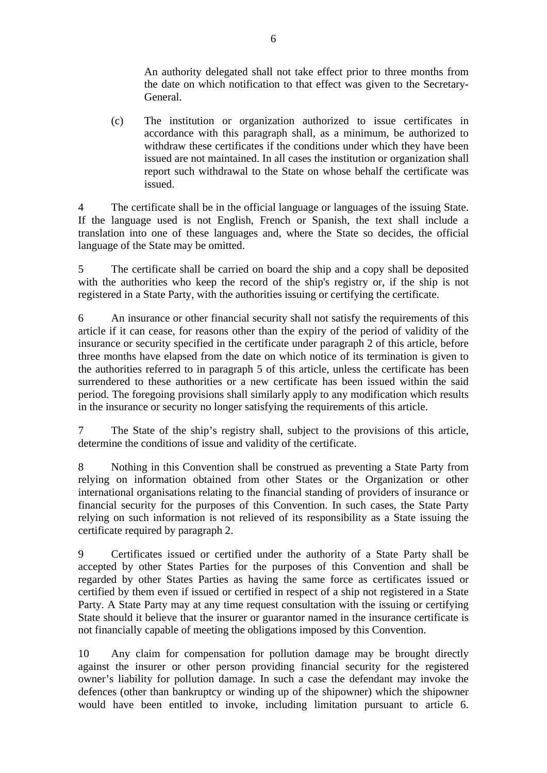An authority delegated shall not take effect prior to three months from the date on which notification to that effect was given to the Secretary-General.

(c) The institution or organization authorized to issue certificates in accordance with this paragraph shall, as a minimum, be authorized to withdraw these certificates if the conditions under which they have been issued are not maintained. In all cases the institution or organization shall report such withdrawal to the State on whose behalf the certificate was issued.

4 The certificate shall be in the official language or languages of the issuing State. If the language used is not English, French or Spanish, the text shall include a translation into one of these languages and, where the State so decides, the official language of the State may be omitted.

5 The certificate shall be carried on board the ship and a copy shall be deposited with the authorities who keep the record of the ship's registry or, if the ship is not registered in a State Party, with the authorities issuing or certifying the certificate.

6 An insurance or other financial security shall not satisfy the requirements of this article if it can cease, for reasons other than the expiry of the period of validity of the insurance or security specified in the certificate under paragraph 2 of this article, before three months have elapsed from the date on which notice of its termination is given to the authorities referred to in paragraph 5 of this article, unless the certificate has been surrendered to these authorities or a new certificate has been issued within the said period. The foregoing provisions shall similarly apply to any modification which results in the insurance or security no longer satisfying the requirements of this article.

7 The State of the ship's registry shall, subject to the provisions of this article, determine the conditions of issue and validity of the certificate.

8 Nothing in this Convention shall be construed as preventing a State Party from relying on information obtained from other States or the Organization or other international organisations relating to the financial standing of providers of insurance or financial security for the purposes of this Convention. In such cases, the State Party relying on such information is not relieved of its responsibility as a State issuing the certificate required by paragraph 2.

9 Certificates issued or certified under the authority of a State Party shall be accepted by other States Parties for the purposes of this Convention and shall be regarded by other States Parties as having the same force as certificates issued or certified by them even if issued or certified in respect of a ship not registered in a State Party. A State Party may at any time request consultation with the issuing or certifying State should it believe that the insurer or guarantor named in the insurance certificate is not financially capable of meeting the obligations imposed by this Convention.

10 Any claim for compensation for pollution damage may be brought directly against the insurer or other person providing financial security for the registered owner's liability for pollution damage. In such a case the defendant may invoke the defences (other than bankruptcy or winding up of the shipowner) which the shipowner would have been entitled to invoke, including limitation pursuant to article 6.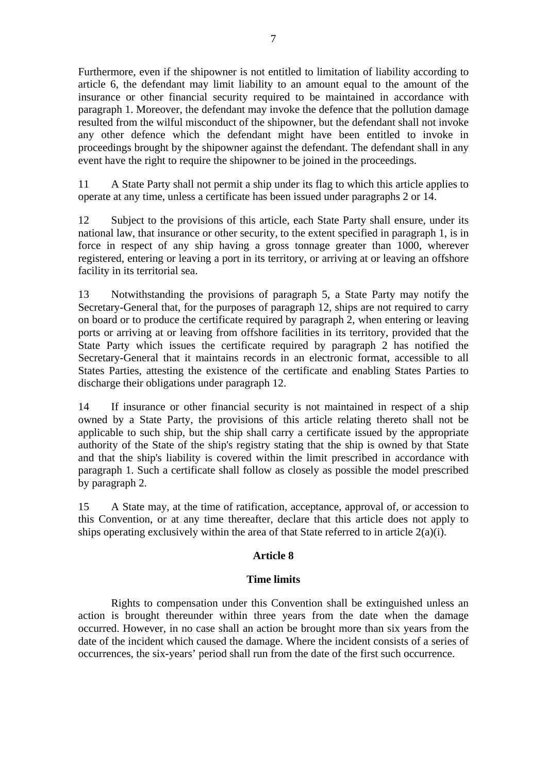Furthermore, even if the shipowner is not entitled to limitation of liability according to article 6, the defendant may limit liability to an amount equal to the amount of the insurance or other financial security required to be maintained in accordance with paragraph 1. Moreover, the defendant may invoke the defence that the pollution damage resulted from the wilful misconduct of the shipowner, but the defendant shall not invoke any other defence which the defendant might have been entitled to invoke in proceedings brought by the shipowner against the defendant. The defendant shall in any event have the right to require the shipowner to be joined in the proceedings.

11 A State Party shall not permit a ship under its flag to which this article applies to operate at any time, unless a certificate has been issued under paragraphs 2 or 14.

12 Subject to the provisions of this article, each State Party shall ensure, under its national law, that insurance or other security, to the extent specified in paragraph 1, is in force in respect of any ship having a gross tonnage greater than 1000, wherever registered, entering or leaving a port in its territory, or arriving at or leaving an offshore facility in its territorial sea.

13 Notwithstanding the provisions of paragraph 5, a State Party may notify the Secretary-General that, for the purposes of paragraph 12, ships are not required to carry on board or to produce the certificate required by paragraph 2, when entering or leaving ports or arriving at or leaving from offshore facilities in its territory, provided that the State Party which issues the certificate required by paragraph 2 has notified the Secretary-General that it maintains records in an electronic format, accessible to all States Parties, attesting the existence of the certificate and enabling States Parties to discharge their obligations under paragraph 12.

14 If insurance or other financial security is not maintained in respect of a ship owned by a State Party, the provisions of this article relating thereto shall not be applicable to such ship, but the ship shall carry a certificate issued by the appropriate authority of the State of the ship's registry stating that the ship is owned by that State and that the ship's liability is covered within the limit prescribed in accordance with paragraph 1. Such a certificate shall follow as closely as possible the model prescribed by paragraph 2.

15 A State may, at the time of ratification, acceptance, approval of, or accession to this Convention, or at any time thereafter, declare that this article does not apply to ships operating exclusively within the area of that State referred to in article 2(a)(i).

# **Article 8**

### **Time limits**

Rights to compensation under this Convention shall be extinguished unless an action is brought thereunder within three years from the date when the damage occurred. However, in no case shall an action be brought more than six years from the date of the incident which caused the damage. Where the incident consists of a series of occurrences, the six-years' period shall run from the date of the first such occurrence.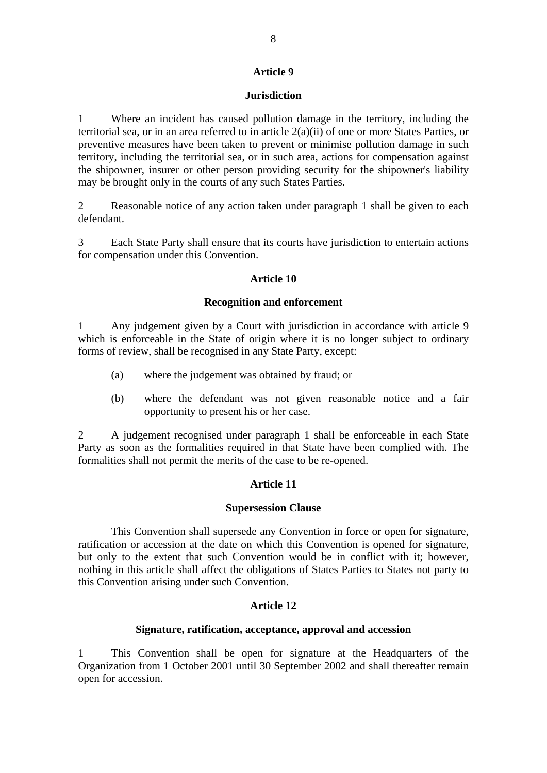#### **Jurisdiction**

1 Where an incident has caused pollution damage in the territory, including the territorial sea, or in an area referred to in article 2(a)(ii) of one or more States Parties, or preventive measures have been taken to prevent or minimise pollution damage in such territory, including the territorial sea, or in such area, actions for compensation against the shipowner, insurer or other person providing security for the shipowner's liability may be brought only in the courts of any such States Parties.

2 Reasonable notice of any action taken under paragraph 1 shall be given to each defendant.

3 Each State Party shall ensure that its courts have jurisdiction to entertain actions for compensation under this Convention.

### **Article 10**

### **Recognition and enforcement**

1 Any judgement given by a Court with jurisdiction in accordance with article 9 which is enforceable in the State of origin where it is no longer subject to ordinary forms of review, shall be recognised in any State Party, except:

- (a) where the judgement was obtained by fraud; or
- (b) where the defendant was not given reasonable notice and a fair opportunity to present his or her case.

2 A judgement recognised under paragraph 1 shall be enforceable in each State Party as soon as the formalities required in that State have been complied with. The formalities shall not permit the merits of the case to be re-opened.

### **Article 11**

### **Supersession Clause**

This Convention shall supersede any Convention in force or open for signature, ratification or accession at the date on which this Convention is opened for signature, but only to the extent that such Convention would be in conflict with it; however, nothing in this article shall affect the obligations of States Parties to States not party to this Convention arising under such Convention.

### **Article 12**

### **Signature, ratification, acceptance, approval and accession**

1 This Convention shall be open for signature at the Headquarters of the Organization from 1 October 2001 until 30 September 2002 and shall thereafter remain open for accession.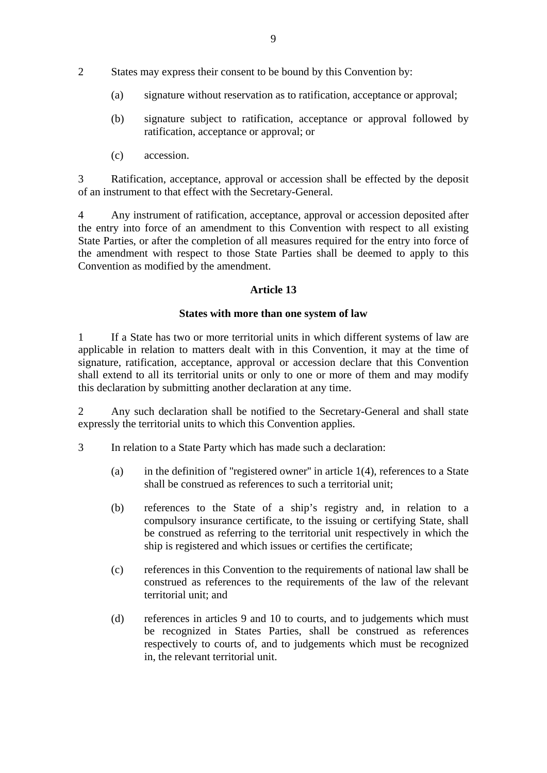- 2 States may express their consent to be bound by this Convention by:
	- (a) signature without reservation as to ratification, acceptance or approval;
	- (b) signature subject to ratification, acceptance or approval followed by ratification, acceptance or approval; or
	- (c) accession.

3 Ratification, acceptance, approval or accession shall be effected by the deposit of an instrument to that effect with the Secretary-General.

4 Any instrument of ratification, acceptance, approval or accession deposited after the entry into force of an amendment to this Convention with respect to all existing State Parties, or after the completion of all measures required for the entry into force of the amendment with respect to those State Parties shall be deemed to apply to this Convention as modified by the amendment.

### **Article 13**

### **States with more than one system of law**

1 If a State has two or more territorial units in which different systems of law are applicable in relation to matters dealt with in this Convention, it may at the time of signature, ratification, acceptance, approval or accession declare that this Convention shall extend to all its territorial units or only to one or more of them and may modify this declaration by submitting another declaration at any time.

2 Any such declaration shall be notified to the Secretary-General and shall state expressly the territorial units to which this Convention applies.

- 3 In relation to a State Party which has made such a declaration:
	- (a) in the definition of ''registered owner'' in article 1(4), references to a State shall be construed as references to such a territorial unit;
	- (b) references to the State of a ship's registry and, in relation to a compulsory insurance certificate, to the issuing or certifying State, shall be construed as referring to the territorial unit respectively in which the ship is registered and which issues or certifies the certificate;
	- (c) references in this Convention to the requirements of national law shall be construed as references to the requirements of the law of the relevant territorial unit; and
	- (d) references in articles 9 and 10 to courts, and to judgements which must be recognized in States Parties, shall be construed as references respectively to courts of, and to judgements which must be recognized in, the relevant territorial unit.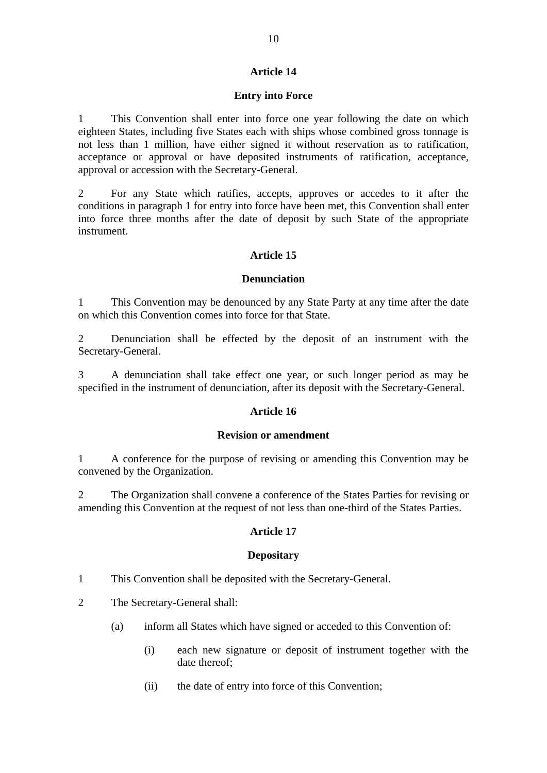### **Entry into Force**

1 This Convention shall enter into force one year following the date on which eighteen States, including five States each with ships whose combined gross tonnage is not less than 1 million, have either signed it without reservation as to ratification, acceptance or approval or have deposited instruments of ratification, acceptance, approval or accession with the Secretary-General.

2 For any State which ratifies, accepts, approves or accedes to it after the conditions in paragraph 1 for entry into force have been met, this Convention shall enter into force three months after the date of deposit by such State of the appropriate instrument.

#### **Article 15**

#### **Denunciation**

1 This Convention may be denounced by any State Party at any time after the date on which this Convention comes into force for that State.

2 Denunciation shall be effected by the deposit of an instrument with the Secretary-General.

3 A denunciation shall take effect one year, or such longer period as may be specified in the instrument of denunciation, after its deposit with the Secretary-General.

### **Article 16**

#### **Revision or amendment**

1 A conference for the purpose of revising or amending this Convention may be convened by the Organization.

2 The Organization shall convene a conference of the States Parties for revising or amending this Convention at the request of not less than one-third of the States Parties.

### **Article 17**

#### **Depositary**

- 1 This Convention shall be deposited with the Secretary-General.
- 2 The Secretary-General shall:
	- (a) inform all States which have signed or acceded to this Convention of:
		- (i) each new signature or deposit of instrument together with the date thereof;
		- (ii) the date of entry into force of this Convention;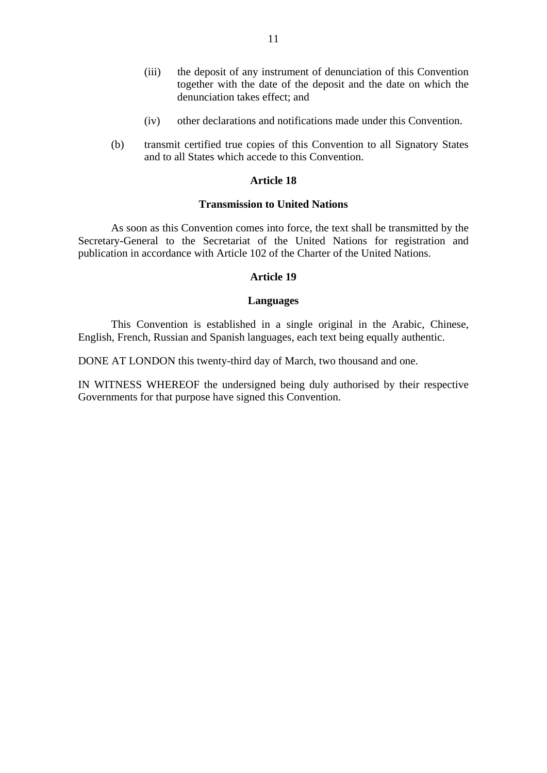- (iii) the deposit of any instrument of denunciation of this Convention together with the date of the deposit and the date on which the denunciation takes effect; and
- (iv) other declarations and notifications made under this Convention.
- (b) transmit certified true copies of this Convention to all Signatory States and to all States which accede to this Convention.

#### **Transmission to United Nations**

As soon as this Convention comes into force, the text shall be transmitted by the Secretary-General to the Secretariat of the United Nations for registration and publication in accordance with Article 102 of the Charter of the United Nations.

#### **Article 19**

#### **Languages**

This Convention is established in a single original in the Arabic, Chinese, English, French, Russian and Spanish languages, each text being equally authentic.

DONE AT LONDON this twenty-third day of March, two thousand and one.

IN WITNESS WHEREOF the undersigned being duly authorised by their respective Governments for that purpose have signed this Convention.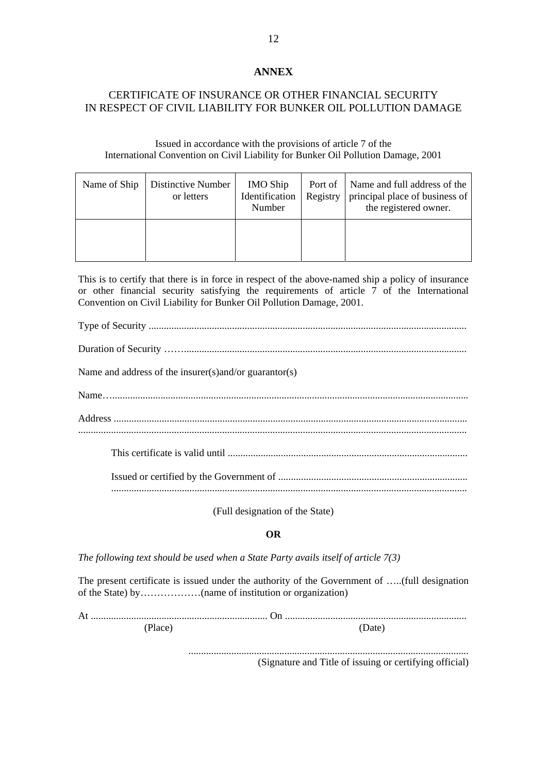## **ANNEX**

## CERTIFICATE OF INSURANCE OR OTHER FINANCIAL SECURITY IN RESPECT OF CIVIL LIABILITY FOR BUNKER OIL POLLUTION DAMAGE

#### Issued in accordance with the provisions of article 7 of the International Convention on Civil Liability for Bunker Oil Pollution Damage, 2001

| Name of Ship | Distinctive Number<br>or letters | <b>IMO Ship</b><br>Identification<br>Number | Port of<br>Registry | Name and full address of the<br>principal place of business of<br>the registered owner. |
|--------------|----------------------------------|---------------------------------------------|---------------------|-----------------------------------------------------------------------------------------|
|              |                                  |                                             |                     |                                                                                         |

This is to certify that there is in force in respect of the above-named ship a policy of insurance or other financial security satisfying the requirements of article  $\overline{7}$  of the International Convention on Civil Liability for Bunker Oil Pollution Damage, 2001.

Type of Security .............................................................................................................................. Duration of Security ……................................................................................................................ Name and address of the insurer(s)and/or guarantor(s) Name…............................................................................................................................................. Address ............................................................................................................................................ .......................................................................................................................................................... This certificate is valid until ............................................................................................... Issued or certified by the Government of ........................................................................... .............................................................................................................................................

(Full designation of the State)

#### **OR**

*The following text should be used when a State Party avails itself of article 7(3)* 

The present certificate is issued under the authority of the Government of …..(full designation of the State) by………………(name of institution or organization)

At ...................................................................... On ........................................................................ (Place) (Date)

> ............................................................................................................... (Signature and Title of issuing or certifying official)